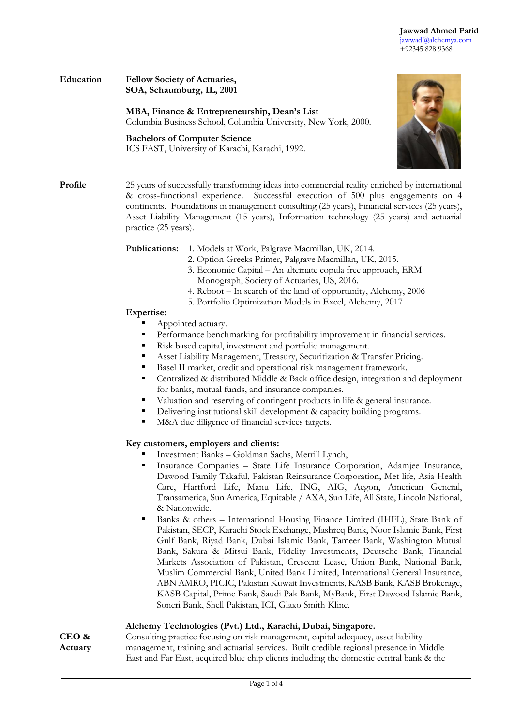

### **Education Fellow Society of Actuaries, SOA, Schaumburg, IL, 2001**

**MBA, Finance & Entrepreneurship, Dean's List**

Columbia Business School, Columbia University, New York, 2000.

**Bachelors of Computer Science**





**Profile** 25 years of successfully transforming ideas into commercial reality enriched by international & cross-functional experience. Successful execution of 500 plus engagements on 4 continents. Foundations in management consulting (25 years), Financial services (25 years), Asset Liability Management (15 years), Information technology (25 years) and actuarial practice (25 years).

**Publications:** 1. Models at Work, Palgrave Macmillan, UK, 2014.

- 2. Option Greeks Primer, Palgrave Macmillan, UK, 2015.
- 3. Economic Capital An alternate copula free approach, ERM Monograph, Society of Actuaries, US, 2016.
- 4. Reboot In search of the land of opportunity, Alchemy, 2006
- 5. Portfolio Optimization Models in Excel, Alchemy, 2017

#### **Expertise:**

- Appointed actuary.
- Performance benchmarking for profitability improvement in financial services.
- Risk based capital, investment and portfolio management.
- Asset Liability Management, Treasury, Securitization & Transfer Pricing.
- Basel II market, credit and operational risk management framework.
- Centralized & distributed Middle & Back office design, integration and deployment for banks, mutual funds, and insurance companies.
- Valuation and reserving of contingent products in life & general insurance.
- Delivering institutional skill development & capacity building programs.
- M&A due diligence of financial services targets.

# **Key customers, employers and clients:**

- Investment Banks Goldman Sachs, Merrill Lynch,
- Insurance Companies State Life Insurance Corporation, Adamjee Insurance, Dawood Family Takaful, Pakistan Reinsurance Corporation, Met life, Asia Health Care, Hartford Life, Manu Life, ING, AIG, Aegon, American General, Transamerica, Sun America, Equitable / AXA, Sun Life, All State, Lincoln National, & Nationwide.
- Banks & others International Housing Finance Limited (IHFL), State Bank of Pakistan, SECP, Karachi Stock Exchange, Mashreq Bank, Noor Islamic Bank, First Gulf Bank, Riyad Bank, Dubai Islamic Bank, Tameer Bank, Washington Mutual Bank, Sakura & Mitsui Bank, Fidelity Investments, Deutsche Bank, Financial Markets Association of Pakistan, Crescent Lease, Union Bank, National Bank, Muslim Commercial Bank, United Bank Limited, International General Insurance, ABN AMRO, PICIC, Pakistan Kuwait Investments, KASB Bank, KASB Brokerage, KASB Capital, Prime Bank, Saudi Pak Bank, MyBank, First Dawood Islamic Bank, Soneri Bank, Shell Pakistan, ICI, Glaxo Smith Kline.

# **Alchemy Technologies (Pvt.) Ltd., Karachi, Dubai, Singapore.**

**CEO & Actuary** Consulting practice focusing on risk management, capital adequacy, asset liability management, training and actuarial services. Built credible regional presence in Middle East and Far East, acquired blue chip clients including the domestic central bank & the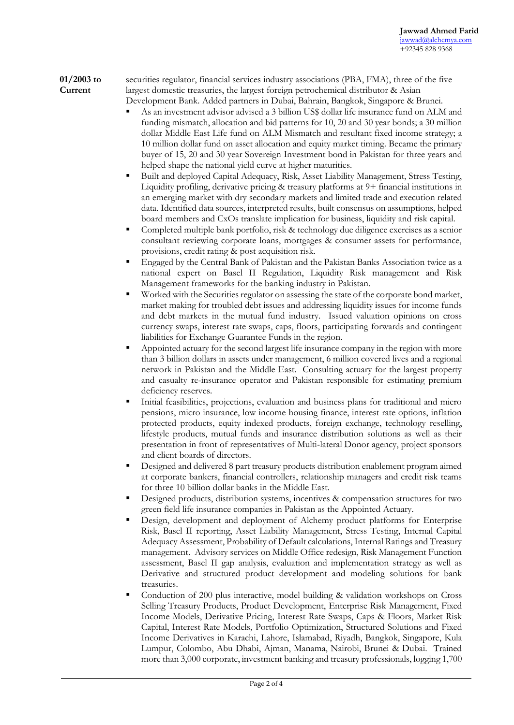#### **01/2003 to Current**  securities regulator, financial services industry associations (PBA, FMA), three of the five largest domestic treasuries, the largest foreign petrochemical distributor & Asian Development Bank. Added partners in Dubai, Bahrain, Bangkok, Singapore & Brunei.

- As an investment advisor advised a 3 billion US\$ dollar life insurance fund on ALM and funding mismatch, allocation and bid patterns for 10, 20 and 30 year bonds; a 30 million dollar Middle East Life fund on ALM Mismatch and resultant fixed income strategy; a 10 million dollar fund on asset allocation and equity market timing. Became the primary buyer of 15, 20 and 30 year Sovereign Investment bond in Pakistan for three years and helped shape the national yield curve at higher maturities.
- Built and deployed Capital Adequacy, Risk, Asset Liability Management, Stress Testing, Liquidity profiling, derivative pricing & treasury platforms at 9+ financial institutions in an emerging market with dry secondary markets and limited trade and execution related data. Identified data sources, interpreted results, built consensus on assumptions, helped board members and CxOs translate implication for business, liquidity and risk capital.
- Completed multiple bank portfolio, risk & technology due diligence exercises as a senior consultant reviewing corporate loans, mortgages & consumer assets for performance, provisions, credit rating & post acquisition risk.
- Engaged by the Central Bank of Pakistan and the Pakistan Banks Association twice as a national expert on Basel II Regulation, Liquidity Risk management and Risk Management frameworks for the banking industry in Pakistan.
- Worked with the Securities regulator on assessing the state of the corporate bond market, market making for troubled debt issues and addressing liquidity issues for income funds and debt markets in the mutual fund industry. Issued valuation opinions on cross currency swaps, interest rate swaps, caps, floors, participating forwards and contingent liabilities for Exchange Guarantee Funds in the region.
- Appointed actuary for the second largest life insurance company in the region with more than 3 billion dollars in assets under management, 6 million covered lives and a regional network in Pakistan and the Middle East. Consulting actuary for the largest property and casualty re-insurance operator and Pakistan responsible for estimating premium deficiency reserves.
- Initial feasibilities, projections, evaluation and business plans for traditional and micro pensions, micro insurance, low income housing finance, interest rate options, inflation protected products, equity indexed products, foreign exchange, technology reselling, lifestyle products, mutual funds and insurance distribution solutions as well as their presentation in front of representatives of Multi-lateral Donor agency, project sponsors and client boards of directors.
- Designed and delivered 8 part treasury products distribution enablement program aimed at corporate bankers, financial controllers, relationship managers and credit risk teams for three 10 billion dollar banks in the Middle East.
- Designed products, distribution systems, incentives & compensation structures for two green field life insurance companies in Pakistan as the Appointed Actuary.
- Design, development and deployment of Alchemy product platforms for Enterprise Risk, Basel II reporting, Asset Liability Management, Stress Testing, Internal Capital Adequacy Assessment, Probability of Default calculations, Internal Ratings and Treasury management. Advisory services on Middle Office redesign, Risk Management Function assessment, Basel II gap analysis, evaluation and implementation strategy as well as Derivative and structured product development and modeling solutions for bank treasuries.
- Conduction of 200 plus interactive, model building & validation workshops on Cross Selling Treasury Products, Product Development, Enterprise Risk Management, Fixed Income Models, Derivative Pricing, Interest Rate Swaps, Caps & Floors, Market Risk Capital, Interest Rate Models, Portfolio Optimization, Structured Solutions and Fixed Income Derivatives in Karachi, Lahore, Islamabad, Riyadh, Bangkok, Singapore, Kula Lumpur, Colombo, Abu Dhabi, Ajman, Manama, Nairobi, Brunei & Dubai. Trained more than 3,000 corporate, investment banking and treasury professionals, logging 1,700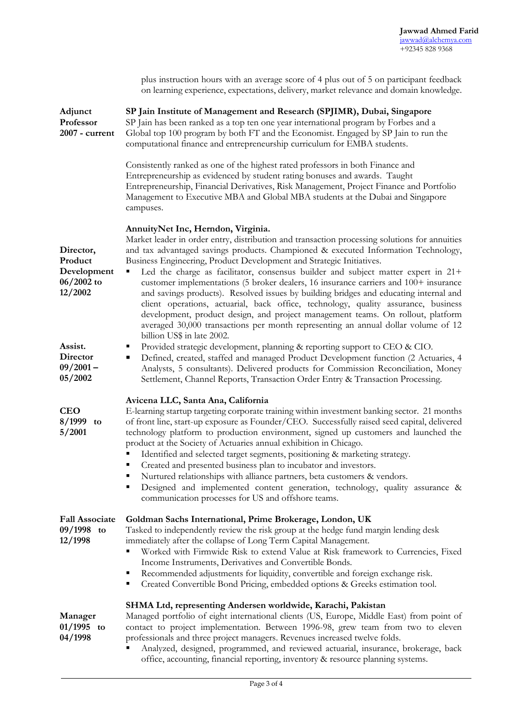|                                                                | plus instruction hours with an average score of 4 plus out of 5 on participant feedback<br>on learning experience, expectations, delivery, market relevance and domain knowledge.                                                                                                                                                                                                                                                                                                                                                                                                                                                                                                                                                                                                                                                                                        |
|----------------------------------------------------------------|--------------------------------------------------------------------------------------------------------------------------------------------------------------------------------------------------------------------------------------------------------------------------------------------------------------------------------------------------------------------------------------------------------------------------------------------------------------------------------------------------------------------------------------------------------------------------------------------------------------------------------------------------------------------------------------------------------------------------------------------------------------------------------------------------------------------------------------------------------------------------|
| Adjunct<br>Professor<br>2007 - current                         | SP Jain Institute of Management and Research (SPJIMR), Dubai, Singapore<br>SP Jain has been ranked as a top ten one year international program by Forbes and a<br>Global top 100 program by both FT and the Economist. Engaged by SP Jain to run the<br>computational finance and entrepreneurship curriculum for EMBA students.                                                                                                                                                                                                                                                                                                                                                                                                                                                                                                                                         |
|                                                                | Consistently ranked as one of the highest rated professors in both Finance and<br>Entrepreneurship as evidenced by student rating bonuses and awards. Taught<br>Entrepreneurship, Financial Derivatives, Risk Management, Project Finance and Portfolio<br>Management to Executive MBA and Global MBA students at the Dubai and Singapore<br>campuses.                                                                                                                                                                                                                                                                                                                                                                                                                                                                                                                   |
| Director,<br>Product<br>Development<br>$06/2002$ to<br>12/2002 | AnnuityNet Inc, Herndon, Virginia.<br>Market leader in order entry, distribution and transaction processing solutions for annuities<br>and tax advantaged savings products. Championed & executed Information Technology,<br>Business Engineering, Product Development and Strategic Initiatives.<br>Led the charge as facilitator, consensus builder and subject matter expert in 21+<br>٠<br>customer implementations (5 broker dealers, 16 insurance carriers and 100+ insurance<br>and savings products). Resolved issues by building bridges and educating internal and<br>client operations, actuarial, back office, technology, quality assurance, business<br>development, product design, and project management teams. On rollout, platform<br>averaged 30,000 transactions per month representing an annual dollar volume of 12<br>billion US\$ in late 2002. |
| Assist.<br><b>Director</b><br>$09/2001 -$<br>05/2002           | Provided strategic development, planning & reporting support to CEO & CIO.<br>п<br>Defined, created, staffed and managed Product Development function (2 Actuaries, 4<br>٠<br>Analysts, 5 consultants). Delivered products for Commission Reconciliation, Money<br>Settlement, Channel Reports, Transaction Order Entry & Transaction Processing.                                                                                                                                                                                                                                                                                                                                                                                                                                                                                                                        |
| <b>CEO</b><br>8/1999 to<br>5/2001                              | Avicena LLC, Santa Ana, California<br>E-learning startup targeting corporate training within investment banking sector. 21 months<br>of front line, start-up exposure as Founder/CEO. Successfully raised seed capital, delivered<br>technology platform to production environment, signed up customers and launched the<br>product at the Society of Actuaries annual exhibition in Chicago.<br>Identified and selected target segments, positioning & marketing strategy.<br>Created and presented business plan to incubator and investors.<br>Nurtured relationships with alliance partners, beta customers & vendors.<br>Designed and implemented content generation, technology, quality assurance &<br>п<br>communication processes for US and offshore teams.                                                                                                    |
| <b>Fall Associate</b><br>09/1998 to<br>12/1998                 | Goldman Sachs International, Prime Brokerage, London, UK<br>Tasked to independently review the risk group at the hedge fund margin lending desk<br>immediately after the collapse of Long Term Capital Management.<br>Worked with Firmwide Risk to extend Value at Risk framework to Currencies, Fixed<br>Income Instruments, Derivatives and Convertible Bonds.<br>Recommended adjustments for liquidity, convertible and foreign exchange risk.<br>Ξ<br>Created Convertible Bond Pricing, embedded options & Greeks estimation tool.<br>٠                                                                                                                                                                                                                                                                                                                              |
| Manager<br>$01/1995$ to<br>04/1998                             | SHMA Ltd, representing Andersen worldwide, Karachi, Pakistan<br>Managed portfolio of eight international clients (US, Europe, Middle East) from point of<br>contact to project implementation. Between 1996-98, grew team from two to eleven<br>professionals and three project managers. Revenues increased twelve folds.                                                                                                                                                                                                                                                                                                                                                                                                                                                                                                                                               |

 Analyzed, designed, programmed, and reviewed actuarial, insurance, brokerage, back office, accounting, financial reporting, inventory & resource planning systems.